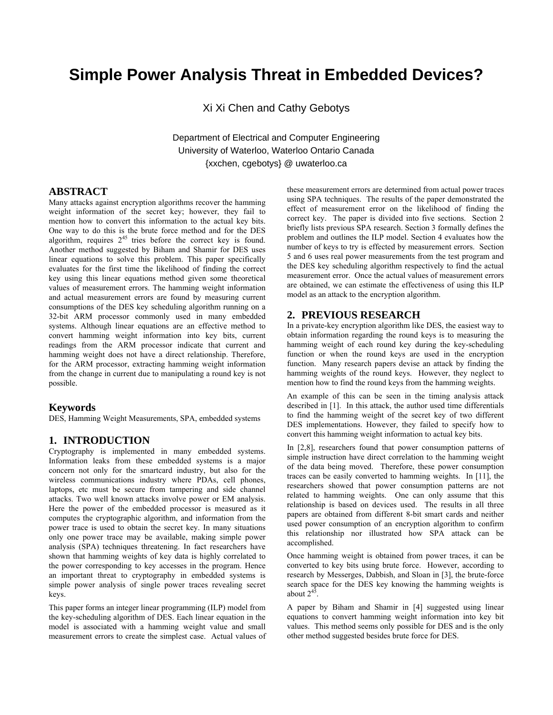# **Simple Power Analysis Threat in Embedded Devices?**

Xi Xi Chen and Cathy Gebotys

Department of Electrical and Computer Engineering University of Waterloo, Waterloo Ontario Canada {xxchen, cgebotys} @ uwaterloo.ca

#### **ABSTRACT**

Many attacks against encryption algorithms recover the hamming weight information of the secret key; however, they fail to mention how to convert this information to the actual key bits. One way to do this is the brute force method and for the DES algorithm, requires  $2^{45}$  tries before the correct key is found. Another method suggested by Biham and Shamir for DES uses linear equations to solve this problem. This paper specifically evaluates for the first time the likelihood of finding the correct key using this linear equations method given some theoretical values of measurement errors. The hamming weight information and actual measurement errors are found by measuring current consumptions of the DES key scheduling algorithm running on a 32-bit ARM processor commonly used in many embedded systems. Although linear equations are an effective method to convert hamming weight information into key bits, current readings from the ARM processor indicate that current and hamming weight does not have a direct relationship. Therefore, for the ARM processor, extracting hamming weight information from the change in current due to manipulating a round key is not possible.

#### **Keywords**

DES, Hamming Weight Measurements, SPA, embedded systems

#### **1. INTRODUCTION**

Cryptography is implemented in many embedded systems. Information leaks from these embedded systems is a major concern not only for the smartcard industry, but also for the wireless communications industry where PDAs, cell phones, laptops, etc must be secure from tampering and side channel attacks. Two well known attacks involve power or EM analysis. Here the power of the embedded processor is measured as it computes the cryptographic algorithm, and information from the power trace is used to obtain the secret key. In many situations only one power trace may be available, making simple power analysis (SPA) techniques threatening. In fact researchers have shown that hamming weights of key data is highly correlated to the power corresponding to key accesses in the program. Hence an important threat to cryptography in embedded systems is simple power analysis of single power traces revealing secret keys.

This paper forms an integer linear programming (ILP) model from the key-scheduling algorithm of DES. Each linear equation in the model is associated with a hamming weight value and small measurement errors to create the simplest case. Actual values of these measurement errors are determined from actual power traces using SPA techniques. The results of the paper demonstrated the effect of measurement error on the likelihood of finding the correct key. The paper is divided into five sections. Section 2 briefly lists previous SPA research. Section 3 formally defines the problem and outlines the ILP model. Section 4 evaluates how the number of keys to try is effected by measurement errors. Section 5 and 6 uses real power measurements from the test program and the DES key scheduling algorithm respectively to find the actual measurement error. Once the actual values of measurement errors are obtained, we can estimate the effectiveness of using this ILP model as an attack to the encryption algorithm.

#### **2. PREVIOUS RESEARCH**

In a private-key encryption algorithm like DES, the easiest way to obtain information regarding the round keys is to measuring the hamming weight of each round key during the key-scheduling function or when the round keys are used in the encryption function. Many research papers devise an attack by finding the hamming weights of the round keys. However, they neglect to mention how to find the round keys from the hamming weights.

An example of this can be seen in the timing analysis attack described in [1]. In this attack, the author used time differentials to find the hamming weight of the secret key of two different DES implementations. However, they failed to specify how to convert this hamming weight information to actual key bits.

In [2,8], researchers found that power consumption patterns of simple instruction have direct correlation to the hamming weight of the data being moved. Therefore, these power consumption traces can be easily converted to hamming weights. In [11], the researchers showed that power consumption patterns are not related to hamming weights. One can only assume that this relationship is based on devices used. The results in all three papers are obtained from different 8-bit smart cards and neither used power consumption of an encryption algorithm to confirm this relationship nor illustrated how SPA attack can be accomplished.

Once hamming weight is obtained from power traces, it can be converted to key bits using brute force. However, according to research by Messerges, Dabbish, and Sloan in [3], the brute-force search space for the DES key knowing the hamming weights is about  $2^{45}$ .

A paper by Biham and Shamir in [4] suggested using linear equations to convert hamming weight information into key bit values. This method seems only possible for DES and is the only other method suggested besides brute force for DES.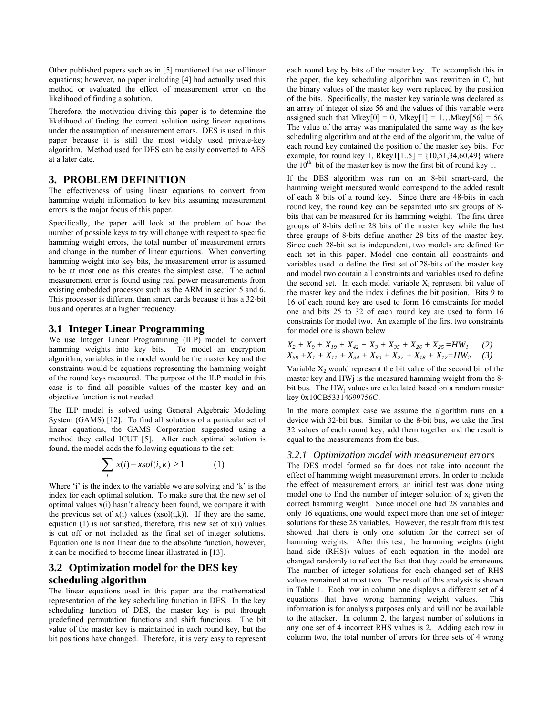Other published papers such as in [5] mentioned the use of linear equations; however, no paper including [4] had actually used this method or evaluated the effect of measurement error on the likelihood of finding a solution.

Therefore, the motivation driving this paper is to determine the likelihood of finding the correct solution using linear equations under the assumption of measurement errors. DES is used in this paper because it is still the most widely used private-key algorithm. Method used for DES can be easily converted to AES at a later date.

## **3. PROBLEM DEFINITION**

The effectiveness of using linear equations to convert from hamming weight information to key bits assuming measurement errors is the major focus of this paper.

Specifically, the paper will look at the problem of how the number of possible keys to try will change with respect to specific hamming weight errors, the total number of measurement errors and change in the number of linear equations. When converting hamming weight into key bits, the measurement error is assumed to be at most one as this creates the simplest case. The actual measurement error is found using real power measurements from existing embedded processor such as the ARM in section 5 and 6. This processor is different than smart cards because it has a 32-bit bus and operates at a higher frequency.

#### **3.1 Integer Linear Programming**

We use Integer Linear Programming (ILP) model to convert hamming weights into key bits. To model an encryption algorithm, variables in the model would be the master key and the constraints would be equations representing the hamming weight of the round keys measured. The purpose of the ILP model in this case is to find all possible values of the master key and an objective function is not needed.

The ILP model is solved using General Algebraic Modeling System (GAMS) [12]. To find all solutions of a particular set of linear equations, the GAMS Corporation suggested using a method they called ICUT [5]. After each optimal solution is found, the model adds the following equations to the set:

$$
\sum_{i} |x(i) - xsol(i, k)| \ge 1
$$
 (1)

Where 'i' is the index to the variable we are solving and 'k' is the index for each optimal solution. To make sure that the new set of optimal values x(i) hasn't already been found, we compare it with the previous set of  $x(i)$  values  $(xsol(i,k))$ . If they are the same, equation (1) is not satisfied, therefore, this new set of  $x(i)$  values is cut off or not included as the final set of integer solutions. Equation one is non linear due to the absolute function, however, it can be modified to become linear illustrated in [13].

## **3.2 Optimization model for the DES key scheduling algorithm**

The linear equations used in this paper are the mathematical representation of the key scheduling function in DES. In the key scheduling function of DES, the master key is put through predefined permutation functions and shift functions. The bit value of the master key is maintained in each round key, but the bit positions have changed. Therefore, it is very easy to represent each round key by bits of the master key. To accomplish this in the paper, the key scheduling algorithm was rewritten in C, but the binary values of the master key were replaced by the position of the bits. Specifically, the master key variable was declared as an array of integer of size 56 and the values of this variable were assigned such that Mkey $[0] = 0$ , Mkey $[1] = 1...$ Mkey $[56] = 56$ . The value of the array was manipulated the same way as the key scheduling algorithm and at the end of the algorithm, the value of each round key contained the position of the master key bits. For example, for round key 1, Rkey1[1..5] =  ${10,51,34,60,49}$  where the  $10<sup>th</sup>$  bit of the master key is now the first bit of round key 1.

If the DES algorithm was run on an 8-bit smart-card, the hamming weight measured would correspond to the added result of each 8 bits of a round key. Since there are 48-bits in each round key, the round key can be separated into six groups of 8 bits that can be measured for its hamming weight. The first three groups of 8-bits define 28 bits of the master key while the last three groups of 8-bits define another 28 bits of the master key. Since each 28-bit set is independent, two models are defined for each set in this paper. Model one contain all constraints and variables used to define the first set of 28-bits of the master key and model two contain all constraints and variables used to define the second set. In each model variable  $X_i$  represent bit value of the master key and the index i defines the bit position. Bits 9 to 16 of each round key are used to form 16 constraints for model one and bits 25 to 32 of each round key are used to form 16 constraints for model two. An example of the first two constraints for model one is shown below

$$
X_2 + X_9 + X_{19} + X_{42} + X_3 + X_{35} + X_{26} + X_{25} = HW_1
$$
 (2)  

$$
X_{59} + X_1 + X_{11} + X_{34} + X_{60} + X_{27} + X_{18} + X_{17} = HW_2
$$
 (3)

Variable  $X_2$  would represent the bit value of the second bit of the master key and HWj is the measured hamming weight from the 8 bit bus. The HW<sub>i</sub> values are calculated based on a random master key 0x10CB53314699756C.

In the more complex case we assume the algorithm runs on a device with 32-bit bus. Similar to the 8-bit bus, we take the first 32 values of each round key; add them together and the result is equal to the measurements from the bus.

#### *3.2.1 Optimization model with measurement errors*

The DES model formed so far does not take into account the effect of hamming weight measurement errors. In order to include the effect of measurement errors, an initial test was done using model one to find the number of integer solution of  $x_i$  given the correct hamming weight. Since model one had 28 variables and only 16 equations, one would expect more than one set of integer solutions for these 28 variables. However, the result from this test showed that there is only one solution for the correct set of hamming weights. After this test, the hamming weights (right hand side (RHS)) values of each equation in the model are changed randomly to reflect the fact that they could be erroneous. The number of integer solutions for each changed set of RHS values remained at most two. The result of this analysis is shown in Table 1. Each row in column one displays a different set of 4 equations that have wrong hamming weight values. This information is for analysis purposes only and will not be available to the attacker. In column 2, the largest number of solutions in any one set of 4 incorrect RHS values is 2. Adding each row in column two, the total number of errors for three sets of 4 wrong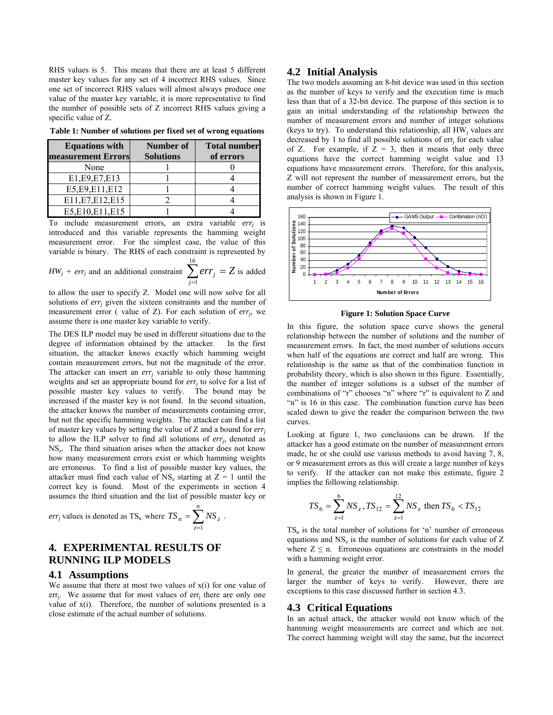RHS values is 5. This means that there are at least 5 different master key values for any set of 4 incorrect RHS values. Since one set of incorrect RHS values will almost always produce one value of the master key variable, it is more representative to find the number of possible sets of Z incorrect RHS values giving a specific value of Z.

**Table 1: Number of solutions per fixed set of wrong equations** 

| <b>Equations with</b> | Number of        | <b>Total number</b> |
|-----------------------|------------------|---------------------|
| measurement Errors    | <b>Solutions</b> | of errors           |
| None                  |                  |                     |
| E1, E9, E7, E13       |                  |                     |
| E5, E9, E11, E12      |                  |                     |
| E11, E7, E12, E15     |                  |                     |
| E5,E10,E11,E15        |                  |                     |

To include measurement errors, an extra variable *errj* is introduced and this variable represents the hamming weight measurement error. For the simplest case, the value of this variable is binary. The RHS of each constraint is represented by

$$
HW_j + err_j \text{ and an additional constraint } \sum_{j=1}^{16} err_j = Z \text{ is added}
$$

to allow the user to specify Z. Model one will now solve for all solutions of *err<sub>i</sub>* given the sixteen constraints and the number of measurement error ( value of Z). For each solution of *errj*, we assume there is one master key variable to verify.

The DES ILP model may be used in different situations due to the degree of information obtained by the attacker. In the first situation, the attacker knows exactly which hamming weight contain measurement errors, but not the magnitude of the error. The attacker can insert an  $err_i$  variable to only those hamming weights and set an appropriate bound for  $err<sub>j</sub>$  to solve for a list of possible master key values to verify. The bound may be increased if the master key is not found. In the second situation, the attacker knows the number of measurements containing error, but not the specific hamming weights. The attacker can find a list of master key values by setting the value of Z and a bound for *errj* to allow the ILP solver to find all solutions of *errj*, denoted as  $NS<sub>z</sub>$ . The third situation arises when the attacker does not know how many measurement errors exist or which hamming weights are erroneous. To find a list of possible master key values, the attacker must find each value of  $NS_z$  starting at  $Z = 1$  until the correct key is found. Most of the experiments in section 4 assumes the third situation and the list of possible master key or

*err<sub>j</sub>* values is denoted as 
$$
TS_n
$$
 where  $TS_n = \sum_{z=1}^{n} NS_z$ .

## **4. EXPERIMENTAL RESULTS OF RUNNING ILP MODELS**

#### **4.1 Assumptions**

We assume that there at most two values of  $x(i)$  for one value of err<sub>i</sub>. We assume that for most values of  $err_i$  there are only one value of  $x(i)$ . Therefore, the number of solutions presented is a close estimate of the actual number of solutions.

#### **4.2 Initial Analysis**

The two models assuming an 8-bit device was used in this section as the number of keys to verify and the execution time is much less than that of a 32-bit device. The purpose of this section is to gain an initial understanding of the relationship between the number of measurement errors and number of integer solutions (keys to try). To understand this relationship, all  $HW_i$  values are decreased by 1 to find all possible solutions of  $err_i$  for each value of Z. For example, if  $\overline{Z} = 3$ , then it means that only three equations have the correct hamming weight value and 13 equations have measurement errors. Therefore, for this analysis, Z will not represent the number of measurement errors, but the number of correct hamming weight values. The result of this analysis is shown in Figure 1.



**Figure 1: Solution Space Curve** 

In this figure, the solution space curve shows the general relationship between the number of solutions and the number of measurement errors. In fact, the most number of solutions occurs when half of the equations are correct and half are wrong. This relationship is the same as that of the combination function in probability theory, which is also shown in this figure. Essentially, the number of integer solutions is a subset of the number of combinations of "r" chooses "n" where "r" is equivalent to Z and "n" is 16 in this case. The combination function curve has been scaled down to give the reader the comparison between the two curves.

Looking at figure 1, two conclusions can be drawn. If the attacker has a good estimate on the number of measurement errors made, he or she could use various methods to avoid having 7, 8, or 9 measurement errors as this will create a large number of keys to verify. If the attacker can not make this estimate, figure 2 implies the following relationship.

$$
TS_6 = \sum_{z=1}^{6} NS_z, TS_{12} = \sum_{z=1}^{12} NS_z
$$
 then  $TS_6 < TS_{12}$ 

 $TS_n$  is the total number of solutions for 'n' number of erroneous equations and  $NS<sub>z</sub>$  is the number of solutions for each value of Z where  $Z \leq n$ . Erroneous equations are constraints in the model with a hamming weight error.

In general, the greater the number of measurement errors the larger the number of keys to verify. However, there are exceptions to this case discussed further in section 4.3.

#### **4.3 Critical Equations**

In an actual attack, the attacker would not know which of the hamming weight measurements are correct and which are not. The correct hamming weight will stay the same, but the incorrect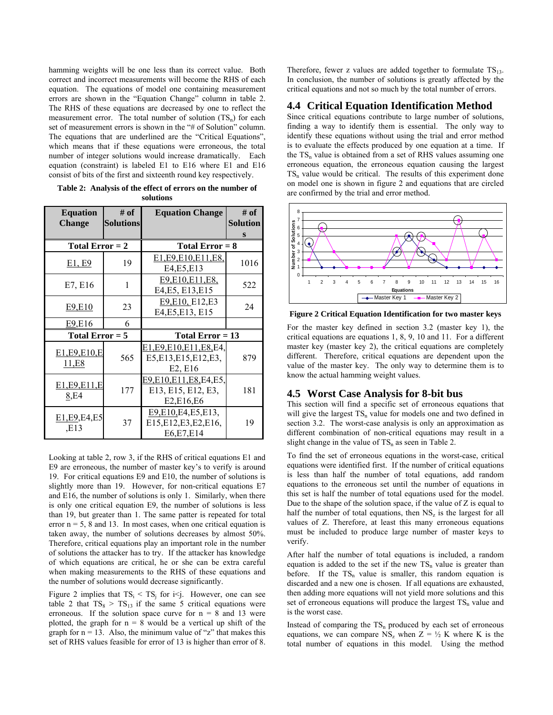hamming weights will be one less than its correct value. Both correct and incorrect measurements will become the RHS of each equation. The equations of model one containing measurement errors are shown in the "Equation Change" column in table 2. The RHS of these equations are decreased by one to reflect the measurement error. The total number of solution  $(TS_n)$  for each set of measurement errors is shown in the "# of Solution" column. The equations that are underlined are the "Critical Equations", which means that if these equations were erroneous, the total number of integer solutions would increase dramatically. Each equation (constraint) is labeled E1 to E16 where E1 and E16 consist of bits of the first and sixteenth round key respectively.

| <b>Equation</b>      | # of             | <b>Equation Change</b>    | # of            |
|----------------------|------------------|---------------------------|-----------------|
| <b>Change</b>        | <b>Solutions</b> |                           | <b>Solution</b> |
|                      |                  |                           | S               |
| Total Error $= 2$    |                  | Total $Error = 8$         |                 |
| E1, E9               | 19               | E1, E9, E10, E11, E8,     | 1016            |
|                      |                  | E4, E5, E13               |                 |
| E7, E16              | 1                | E9, E10, E11, E8,         | 522             |
|                      |                  | E4, E5, E13, E15          |                 |
| E9,E10               | 23               | E9, E10, E12, E3          | 24              |
|                      |                  | E4, E5, E13, E15          |                 |
| E9, E16              | 6                |                           |                 |
| Total Error $= 5$    |                  | Total Error $= 13$        |                 |
|                      |                  | E1,E9,E10,E11,E8,E4,      |                 |
| E1,E9,E10,E<br>11,E8 | 565              | E5, E13, E15, E12, E3,    | 879             |
|                      |                  | E2, E16                   |                 |
| E1, E9, E11, E       |                  | E9, E10, E11, E8, E4, E5, |                 |
| 8,E4                 | 177              | E13, E15, E12, E3,        | 181             |
|                      |                  | E2,E16,E6                 |                 |
| E1, E9, E4, E5       |                  | E9,E10,E4,E5,E13,         |                 |
| E13,                 | 37               | E15, E12, E3, E2, E16,    | 19              |
|                      |                  | E6, E7, E14               |                 |

**Table 2: Analysis of the effect of errors on the number of solutions** 

Looking at table 2, row 3, if the RHS of critical equations E1 and E9 are erroneous, the number of master key's to verify is around 19. For critical equations E9 and E10, the number of solutions is slightly more than 19. However, for non-critical equations E7 and E16, the number of solutions is only 1. Similarly, when there is only one critical equation E9, the number of solutions is less than 19, but greater than 1. The same patter is repeated for total error  $n = 5$ , 8 and 13. In most cases, when one critical equation is taken away, the number of solutions decreases by almost 50%. Therefore, critical equations play an important role in the number of solutions the attacker has to try. If the attacker has knowledge of which equations are critical, he or she can be extra careful when making measurements to the RHS of these equations and the number of solutions would decrease significantly.

Figure 2 implies that  $TS_i < TS_j$  for i $\leq j$ . However, one can see table 2 that  $TS_8 > TS_{13}$  if the same 5 critical equations were erroneous. If the solution space curve for  $n = 8$  and 13 were plotted, the graph for  $n = 8$  would be a vertical up shift of the graph for  $n = 13$ . Also, the minimum value of "z" that makes this set of RHS values feasible for error of 13 is higher than error of 8.

Therefore, fewer z values are added together to formulate  $TS_{13}$ . In conclusion, the number of solutions is greatly affected by the critical equations and not so much by the total number of errors.

## **4.4 Critical Equation Identification Method**

Since critical equations contribute to large number of solutions, finding a way to identify them is essential. The only way to identify these equations without using the trial and error method is to evaluate the effects produced by one equation at a time. If the  $TS_n$  value is obtained from a set of RHS values assuming one erroneous equation, the erroneous equation causing the largest  $TS_n$  value would be critical. The results of this experiment done on model one is shown in figure 2 and equations that are circled are confirmed by the trial and error method.



**Figure 2 Critical Equation Identification for two master keys** 

For the master key defined in section 3.2 (master key 1), the critical equations are equations 1, 8, 9, 10 and 11. For a different master key (master key 2), the critical equations are completely different. Therefore, critical equations are dependent upon the value of the master key. The only way to determine them is to know the actual hamming weight values.

#### **4.5 Worst Case Analysis for 8-bit bus**

This section will find a specific set of erroneous equations that will give the largest  $TS_n$  value for models one and two defined in section 3.2. The worst-case analysis is only an approximation as different combination of non-critical equations may result in a slight change in the value of  $TS_n$  as seen in Table 2.

To find the set of erroneous equations in the worst-case, critical equations were identified first. If the number of critical equations is less than half the number of total equations, add random equations to the erroneous set until the number of equations in this set is half the number of total equations used for the model. Due to the shape of the solution space, if the value of  $Z$  is equal to half the number of total equations, then  $NS<sub>z</sub>$  is the largest for all values of Z. Therefore, at least this many erroneous equations must be included to produce large number of master keys to verify.

After half the number of total equations is included, a random equation is added to the set if the new  $TS_n$  value is greater than before. If the  $TS_n$  value is smaller, this random equation is discarded and a new one is chosen. If all equations are exhausted, then adding more equations will not yield more solutions and this set of erroneous equations will produce the largest  $TS<sub>n</sub>$  value and is the worst case.

Instead of comparing the  $TS<sub>n</sub>$  produced by each set of erroneous equations, we can compare  $NS_z$  when  $Z = \frac{1}{2} K$  where K is the total number of equations in this model. Using the method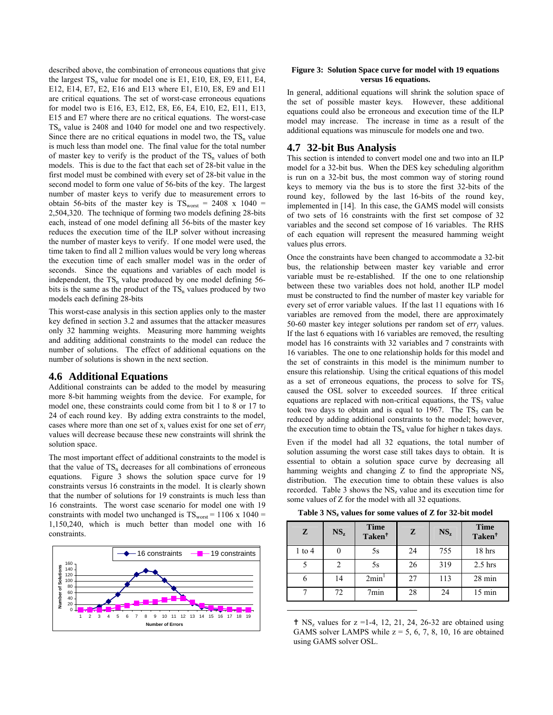described above, the combination of erroneous equations that give the largest  $TS_n$  value for model one is E1, E10, E8, E9, E11, E4, E12, E14, E7, E2, E16 and E13 where E1, E10, E8, E9 and E11 are critical equations. The set of worst-case erroneous equations for model two is E16, E3, E12, E8, E6, E4, E10, E2, E11, E13, E15 and E7 where there are no critical equations. The worst-case  $TS_n$  value is 2408 and 1040 for model one and two respectively. Since there are no critical equations in model two, the  $TS_n$  value is much less than model one. The final value for the total number of master key to verify is the product of the  $TS_n$  values of both models. This is due to the fact that each set of 28-bit value in the first model must be combined with every set of 28-bit value in the second model to form one value of 56-bits of the key. The largest number of master keys to verify due to measurement errors to obtain 56-bits of the master key is  $TS<sub>worst</sub> = 2408$  x 1040 = 2,504,320. The technique of forming two models defining 28-bits each, instead of one model defining all 56-bits of the master key reduces the execution time of the ILP solver without increasing the number of master keys to verify. If one model were used, the time taken to find all 2 million values would be very long whereas the execution time of each smaller model was in the order of seconds. Since the equations and variables of each model is independent, the  $TS_n$  value produced by one model defining 56bits is the same as the product of the  $TS_n$  values produced by two models each defining 28-bits

This worst-case analysis in this section applies only to the master key defined in section 3.2 and assumes that the attacker measures only 32 hamming weights. Measuring more hamming weights and additing additional constraints to the model can reduce the number of solutions. The effect of additional equations on the number of solutions is shown in the next section.

#### **4.6 Additional Equations**

Additional constraints can be added to the model by measuring more 8-bit hamming weights from the device. For example, for model one, these constraints could come from bit 1 to 8 or 17 to 24 of each round key. By adding extra constraints to the model, cases where more than one set of  $x_i$  values exist for one set of  $err_i$ values will decrease because these new constraints will shrink the solution space.

The most important effect of additional constraints to the model is that the value of  $TS_n$  decreases for all combinations of erroneous equations. Figure 3 shows the solution space curve for 19 constraints versus 16 constraints in the model. It is clearly shown that the number of solutions for 19 constraints is much less than 16 constraints. The worst case scenario for model one with 19 constraints with model two unchanged is  $TS_{worst} = 1106 \times 1040 =$ 1,150,240, which is much better than model one with 16 constraints.



#### **Figure 3: Solution Space curve for model with 19 equations versus 16 equations.**

In general, additional equations will shrink the solution space of the set of possible master keys. However, these additional equations could also be erroneous and execution time of the ILP model may increase. The increase in time as a result of the additional equations was minuscule for models one and two.

#### **4.7 32-bit Bus Analysis**

This section is intended to convert model one and two into an ILP model for a 32-bit bus. When the DES key scheduling algorithm is run on a 32-bit bus, the most common way of storing round keys to memory via the bus is to store the first 32-bits of the round key, followed by the last 16-bits of the round key, implemented in [14]. In this case, the GAMS model will consists of two sets of 16 constraints with the first set compose of 32 variables and the second set compose of 16 variables. The RHS of each equation will represent the measured hamming weight values plus errors.

Once the constraints have been changed to accommodate a 32-bit bus, the relationship between master key variable and error variable must be re-established. If the one to one relationship between these two variables does not hold, another ILP model must be constructed to find the number of master key variable for every set of error variable values. If the last 11 equations with 16 variables are removed from the model, there are approximately 50-60 master key integer solutions per random set of *errj* values. If the last 6 equations with 16 variables are removed, the resulting model has 16 constraints with 32 variables and 7 constraints with 16 variables. The one to one relationship holds for this model and the set of constraints in this model is the minimum number to ensure this relationship. Using the critical equations of this model as a set of erroneous equations, the process to solve for  $TS<sub>5</sub>$ caused the OSL solver to exceeded sources. If three critical equations are replaced with non-critical equations, the  $TS<sub>5</sub>$  value took two days to obtain and is equal to 1967. The  $TS<sub>5</sub>$  can be reduced by adding additional constraints to the model; however, the execution time to obtain the  $TS<sub>n</sub>$  value for higher n takes days.

Even if the model had all 32 equations, the total number of solution assuming the worst case still takes days to obtain. It is essential to obtain a solution space curve by decreasing all hamming weights and changing Z to find the appropriate  $NS<sub>z</sub>$ distribution. The execution time to obtain these values is also recorded. Table 3 shows the  $NS<sub>z</sub>$  value and its execution time for some values of Z for the model with all 32 equations.

Table 3 NS<sub>z</sub> values for some values of Z for 32-bit model

| Z          | $NS_z$ | <b>Time</b><br>Taken <sup>†</sup> | Z  | $NS_z$ | <b>Time</b><br>Taken <sup>†</sup> |
|------------|--------|-----------------------------------|----|--------|-----------------------------------|
| $1$ to $4$ |        | 5s                                | 24 | 755    | 18 hrs                            |
|            |        | 5s                                | 26 | 319    | $2.5$ hrs                         |
| 6          | 14     | 2min <sup>1</sup>                 | 27 | 113    | 28 min                            |
|            | 72     | 7min                              | 28 | 24     | $15 \text{ min}$                  |

 $\uparrow$  NS<sub>z</sub> values for z =1-4, 12, 21, 24, 26-32 are obtained using GAMS solver LAMPS while  $z = 5, 6, 7, 8, 10, 16$  are obtained using GAMS solver OSL.

1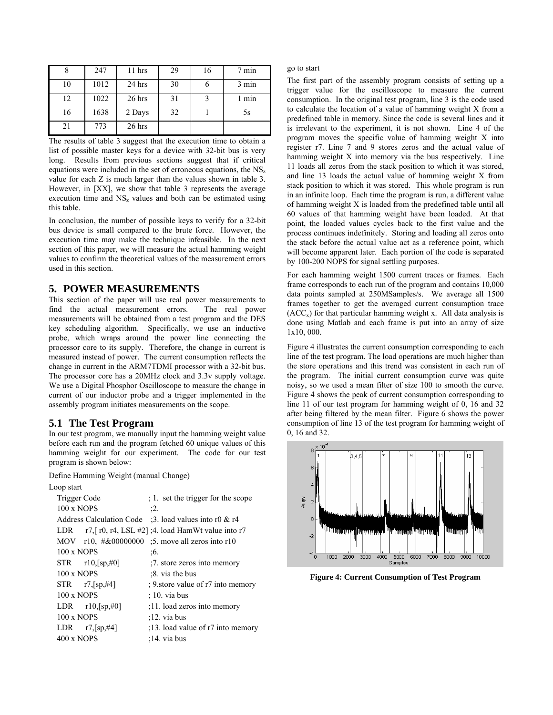|    | 247  | 11 hrs   | 29 | 16 | 7 min |
|----|------|----------|----|----|-------|
| 10 | 1012 | 24 hrs   | 30 |    | 3 min |
| 12 | 1022 | 26 hrs   | 31 |    | 1 min |
| 16 | 1638 | 2 Days   | 32 |    | 5s    |
| 21 | 773  | $26$ hrs |    |    |       |

The results of table 3 suggest that the execution time to obtain a list of possible master keys for a device with 32-bit bus is very long. Results from previous sections suggest that if critical equations were included in the set of erroneous equations, the  $NS<sub>z</sub>$ value for each Z is much larger than the values shown in table 3. However, in [XX], we show that table 3 represents the average execution time and  $NS<sub>z</sub>$  values and both can be estimated using this table.

In conclusion, the number of possible keys to verify for a 32-bit bus device is small compared to the brute force. However, the execution time may make the technique infeasible. In the next section of this paper, we will measure the actual hamming weight values to confirm the theoretical values of the measurement errors used in this section.

## **5. POWER MEASUREMENTS**

This section of the paper will use real power measurements to find the actual measurement errors. The real power measurements will be obtained from a test program and the DES key scheduling algorithm. Specifically, we use an inductive probe, which wraps around the power line connecting the processor core to its supply. Therefore, the change in current is measured instead of power. The current consumption reflects the change in current in the ARM7TDMI processor with a 32-bit bus. The processor core has a 20MHz clock and 3.3v supply voltage. We use a Digital Phosphor Oscilloscope to measure the change in current of our inductor probe and a trigger implemented in the assembly program initiates measurements on the scope.

### **5.1 The Test Program**

In our test program, we manually input the hamming weight value before each run and the program fetched 60 unique values of this hamming weight for our experiment. The code for our test program is shown below:

Define Hamming Weight (manual Change)

Loop start

| Trigger Code                        | ; 1. set the trigger for the scope                               |
|-------------------------------------|------------------------------------------------------------------|
| $100 \times NOPS$                   | :2.                                                              |
|                                     | Address Calculation Code :3. load values into r0 $\&$ r4         |
|                                     | LDR $r7$ , $r0$ , $r4$ , LSL $#2$ ]; 4. load HamWt value into r7 |
| MOV r10, #&00000000                 | :5. move all zeros into r10                                      |
| $100 \times NOPS$                   | :6.                                                              |
| $STR$ $r10,[sp,#0]$                 | :7. store zeros into memory                                      |
| $100 \times NOPS$                   | :8. via the bus                                                  |
| $STR$ r7, $[sp, #4]$                | ; 9. store value of r7 into memory                               |
| $100 \times NOPS$                   | $(10. \text{via bus})$                                           |
| LDR $r10$ , $\lceil sp, \#0 \rceil$ | :11. load zeros into memory                                      |
| $100 \times NOPS$                   | $:12.$ via bus                                                   |
| LDR $r7$ , $\lceil sp, #4 \rceil$   | :13. load value of r7 into memory                                |
| $400 \times NOPS$                   | $:14.$ via bus                                                   |
|                                     |                                                                  |

go to start

The first part of the assembly program consists of setting up a trigger value for the oscilloscope to measure the current consumption. In the original test program, line 3 is the code used to calculate the location of a value of hamming weight X from a predefined table in memory. Since the code is several lines and it is irrelevant to the experiment, it is not shown. Line 4 of the program moves the specific value of hamming weight X into register r7. Line 7 and 9 stores zeros and the actual value of hamming weight X into memory via the bus respectively. Line 11 loads all zeros from the stack position to which it was stored, and line 13 loads the actual value of hamming weight X from stack position to which it was stored. This whole program is run in an infinite loop. Each time the program is run, a different value of hamming weight X is loaded from the predefined table until all 60 values of that hamming weight have been loaded. At that point, the loaded values cycles back to the first value and the process continues indefinitely. Storing and loading all zeros onto the stack before the actual value act as a reference point, which will become apparent later. Each portion of the code is separated by 100-200 NOPS for signal settling purposes.

For each hamming weight 1500 current traces or frames. Each frame corresponds to each run of the program and contains 10,000 data points sampled at 250MSamples/s. We average all 1500 frames together to get the averaged current consumption trace  $(ACC<sub>x</sub>)$  for that particular hamming weight x. All data analysis is done using Matlab and each frame is put into an array of size 1x10, 000.

Figure 4 illustrates the current consumption corresponding to each line of the test program. The load operations are much higher than the store operations and this trend was consistent in each run of the program. The initial current consumption curve was quite noisy, so we used a mean filter of size 100 to smooth the curve. Figure 4 shows the peak of current consumption corresponding to line 11 of our test program for hamming weight of 0, 16 and 32 after being filtered by the mean filter. Figure 6 shows the power consumption of line 13 of the test program for hamming weight of 0, 16 and 32.



**Figure 4: Current Consumption of Test Program**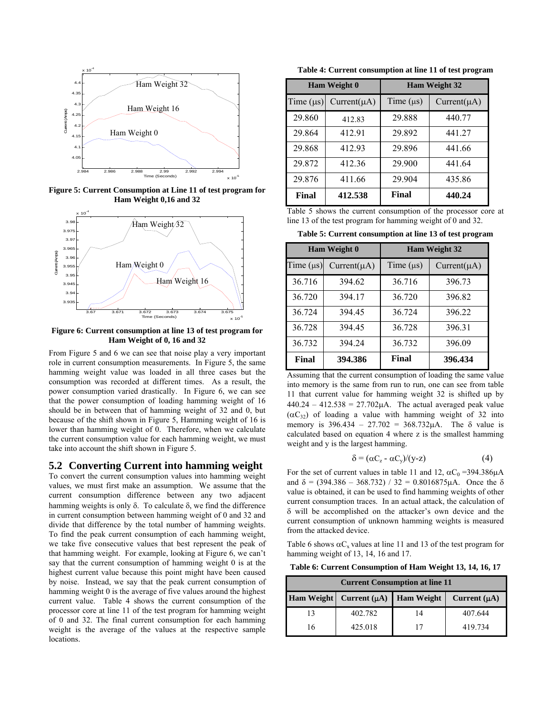

**Figure 5: Current Consumption at Line 11 of test program for Ham Weight 0,16 and 32** 



**Figure 6: Current consumption at line 13 of test program for Ham Weight of 0, 16 and 32** 

From Figure 5 and 6 we can see that noise play a very important role in current consumption measurements. In Figure 5, the same hamming weight value was loaded in all three cases but the consumption was recorded at different times. As a result, the power consumption varied drastically. In Figure 6, we can see that the power consumption of loading hamming weight of 16 should be in between that of hamming weight of 32 and 0, but because of the shift shown in Figure 5, Hamming weight of 16 is lower than hamming weight of 0. Therefore, when we calculate the current consumption value for each hamming weight, we must take into account the shift shown in Figure 5.

#### **5.2 Converting Current into hamming weight**

To convert the current consumption values into hamming weight values, we must first make an assumption. We assume that the current consumption difference between any two adjacent hamming weights is only δ. To calculate δ, we find the difference in current consumption between hamming weight of 0 and 32 and divide that difference by the total number of hamming weights. To find the peak current consumption of each hamming weight, we take five consecutive values that best represent the peak of that hamming weight. For example, looking at Figure 6, we can't say that the current consumption of hamming weight 0 is at the highest current value because this point might have been caused by noise. Instead, we say that the peak current consumption of hamming weight 0 is the average of five values around the highest current value. Table 4 shows the current consumption of the processor core at line 11 of the test program for hamming weight of 0 and 32. The final current consumption for each hamming weight is the average of the values at the respective sample locations.

**Table 4: Current consumption at line 11 of test program** 

| Ham Weight 0   |                  |                | <b>Ham Weight 32</b> |
|----------------|------------------|----------------|----------------------|
| Time $(\mu s)$ | $Current(\mu A)$ | Time $(\mu s)$ | $Current(\mu A)$     |
| 29.860         | 412.83           | 29.888         | 440.77               |
| 29.864         | 412.91           | 29.892         | 441.27               |
| 29.868         | 412.93           | 29.896         | 441.66               |
| 29.872         | 412.36           | 29.900         | 441.64               |
| 29.876         | 411.66           | 29.904         | 435.86               |
| Final          | 412.538          | Final          | 440.24               |

Table 5 shows the current consumption of the processor core at line 13 of the test program for hamming weight of 0 and 32.

**Table 5: Current consumption at line 13 of test program** 

| Ham Weight 0   |                  |                | <b>Ham Weight 32</b> |
|----------------|------------------|----------------|----------------------|
| Time $(\mu s)$ | $Current(\mu A)$ | Time $(\mu s)$ | $Current(\mu A)$     |
| 36.716         | 394.62           | 36.716         | 396.73               |
| 36.720         | 394.17           | 36.720         | 396.82               |
| 36.724         | 394.45           | 36.724         | 396.22               |
| 36.728         | 394.45           | 36.728         | 396.31               |
| 36.732         | 394.24           | 36.732         | 396.09               |
| Final          | 394.386          | Final          | 396.434              |

Assuming that the current consumption of loading the same value into memory is the same from run to run, one can see from table 11 that current value for hamming weight 32 is shifted up by  $440.24 - 412.538 = 27.702\mu\text{A}$ . The actual averaged peak value  $(\alpha C_{32})$  of loading a value with hamming weight of 32 into memory is  $396.434 - 27.702 = 368.732 \mu A$ . The  $\delta$  value is calculated based on equation 4 where z is the smallest hamming weight and y is the largest hamming.

$$
\delta = (\alpha C_z - \alpha C_y)/(y-z) \tag{4}
$$

For the set of current values in table 11 and 12,  $\alpha C_0 = 394.386 \mu A$ and  $\delta = (394.386 - 368.732) / 32 = 0.8016875 \mu \text{A}$ . Once the  $\delta$ value is obtained, it can be used to find hamming weights of other current consumption traces. In an actual attack, the calculation of δ will be accomplished on the attacker's own device and the current consumption of unknown hamming weights is measured from the attacked device.

Table 6 shows  $\alpha C_x$  values at line 11 and 13 of the test program for hamming weight of 13, 14, 16 and 17.

**Table 6: Current Consumption of Ham Weight 13, 14, 16, 17** 

| <b>Current Consumption at line 11</b> |                   |                   |                   |
|---------------------------------------|-------------------|-------------------|-------------------|
| Ham Weight                            | Current $(\mu A)$ | <b>Ham Weight</b> | Current $(\mu A)$ |
| 13                                    | 402.782           | 14                | 407.644           |
| 16                                    | 425.018           |                   | 419.734           |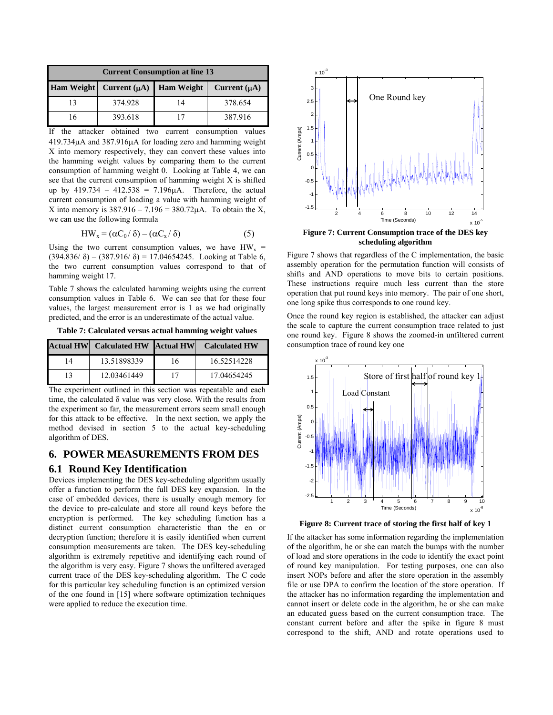| <b>Current Consumption at line 13</b> |                                             |    |                   |
|---------------------------------------|---------------------------------------------|----|-------------------|
|                                       | Ham Weight   Current $(\mu A)$   Ham Weight |    | Current $(\mu A)$ |
| 13                                    | 374.928                                     | 14 | 378.654           |
|                                       | 393.618                                     |    | 387.916           |

If the attacker obtained two current consumption values 419.734µA and 387.916µA for loading zero and hamming weight X into memory respectively, they can convert these values into the hamming weight values by comparing them to the current consumption of hamming weight 0. Looking at Table 4, we can see that the current consumption of hamming weight X is shifted up by  $419.734 - 412.538 = 7.196 \mu A$ . Therefore, the actual current consumption of loading a value with hamming weight of X into memory is  $387.916 - 7.196 = 380.72 \mu A$ . To obtain the X, we can use the following formula

$$
HW_x = (\alpha C_0 / \delta) - (\alpha C_x / \delta)
$$
 (5)

Using the two current consumption values, we have  $HW_x$  = (394.836/ $\delta$ ) – (387.916/ $\delta$ ) = 17.04654245. Looking at Table 6, the two current consumption values correspond to that of hamming weight 17.

Table 7 shows the calculated hamming weights using the current consumption values in Table 6. We can see that for these four values, the largest measurement error is 1 as we had originally predicted, and the error is an underestimate of the actual value.

**Table 7: Calculated versus actual hamming weight values** 

|    | <b>Actual HW</b> Calculated HW Actual HW |    | <b>Calculated HW</b> |
|----|------------------------------------------|----|----------------------|
| 14 | 13.51898339                              | 16 | 16.52514228          |
| 13 | 12.03461449                              |    | 17.04654245          |

The experiment outlined in this section was repeatable and each time, the calculated δ value was very close. With the results from the experiment so far, the measurement errors seem small enough for this attack to be effective. In the next section, we apply the method devised in section 5 to the actual key-scheduling algorithm of DES.

# **6. POWER MEASUREMENTS FROM DES**

#### **6.1 Round Key Identification**

Devices implementing the DES key-scheduling algorithm usually offer a function to perform the full DES key expansion. In the case of embedded devices, there is usually enough memory for the device to pre-calculate and store all round keys before the encryption is performed. The key scheduling function has a distinct current consumption characteristic than the en or decryption function; therefore it is easily identified when current consumption measurements are taken. The DES key-scheduling algorithm is extremely repetitive and identifying each round of the algorithm is very easy. Figure 7 shows the unfiltered averaged current trace of the DES key-scheduling algorithm. The C code for this particular key scheduling function is an optimized version of the one found in [15] where software optimization techniques were applied to reduce the execution time.



**scheduling algorithm** 

Figure 7 shows that regardless of the C implementation, the basic assembly operation for the permutation function will consists of shifts and AND operations to move bits to certain positions. These instructions require much less current than the store operation that put round keys into memory. The pair of one short, one long spike thus corresponds to one round key.

Once the round key region is established, the attacker can adjust the scale to capture the current consumption trace related to just one round key. Figure 8 shows the zoomed-in unfiltered current consumption trace of round key one



**Figure 8: Current trace of storing the first half of key 1** 

If the attacker has some information regarding the implementation of the algorithm, he or she can match the bumps with the number of load and store operations in the code to identify the exact point of round key manipulation. For testing purposes, one can also insert NOPs before and after the store operation in the assembly file or use DPA to confirm the location of the store operation. If the attacker has no information regarding the implementation and cannot insert or delete code in the algorithm, he or she can make an educated guess based on the current consumption trace. The constant current before and after the spike in figure 8 must correspond to the shift, AND and rotate operations used to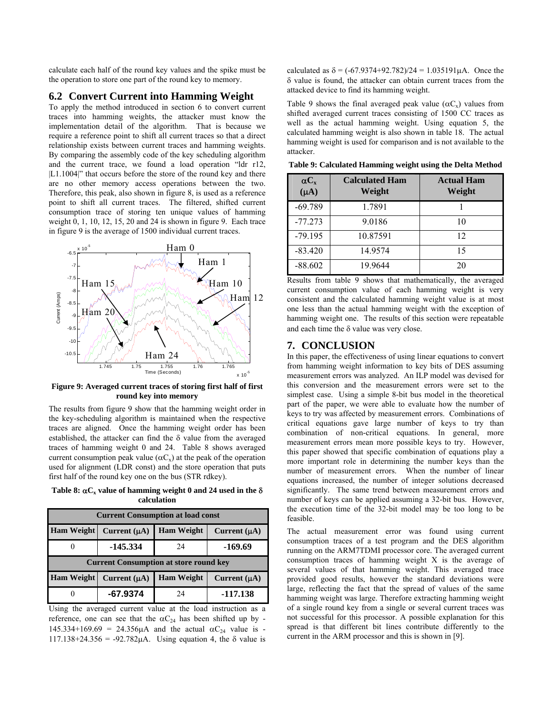calculate each half of the round key values and the spike must be the operation to store one part of the round key to memory.

#### **6.2 Convert Current into Hamming Weight**

To apply the method introduced in section 6 to convert current traces into hamming weights, the attacker must know the implementation detail of the algorithm. That is because we require a reference point to shift all current traces so that a direct relationship exists between current traces and hamming weights. By comparing the assembly code of the key scheduling algorithm and the current trace, we found a load operation "ldr r12, |L1.1004|" that occurs before the store of the round key and there are no other memory access operations between the two. Therefore, this peak, also shown in figure 8, is used as a reference point to shift all current traces. The filtered, shifted current consumption trace of storing ten unique values of hamming weight 0, 1, 10, 12, 15, 20 and 24 is shown in figure 9. Each trace in figure 9 is the average of 1500 individual current traces.



**Figure 9: Averaged current traces of storing first half of first round key into memory** 

The results from figure 9 show that the hamming weight order in the key-scheduling algorithm is maintained when the respective traces are aligned. Once the hamming weight order has been established, the attacker can find the δ value from the averaged traces of hamming weight 0 and 24. Table 8 shows averaged current consumption peak value ( $\alpha C_x$ ) at the peak of the operation used for alignment (LDR const) and the store operation that puts first half of the round key one on the bus (STR rdkey).

Table 8:  $\alpha C_x$  value of hamming weight 0 and 24 used in the  $\delta$ **calculation** 

| <b>Current Consumption at load const</b> |                                               |                   |                   |  |
|------------------------------------------|-----------------------------------------------|-------------------|-------------------|--|
| <b>Ham Weight</b>                        | Current $(\mu A)$                             | <b>Ham Weight</b> | Current $(\mu A)$ |  |
| 0                                        | $-145.334$                                    | 24                | -169.69           |  |
|                                          | <b>Current Consumption at store round key</b> |                   |                   |  |
| <b>Ham Weight</b>                        | Current $(\mu A)$                             | <b>Ham Weight</b> | Current $(\mu A)$ |  |
|                                          |                                               |                   |                   |  |

Using the averaged current value at the load instruction as a reference, one can see that the  $\alpha C_{24}$  has been shifted up by -145.334+169.69 = 24.356 $\mu$ A and the actual  $\alpha C_{24}$  value is -117.138+24.356 = -92.782μA. Using equation 4, the δ value is

calculated as  $\delta = (-67.9374 + 92.782)/24 = 1.035191 \mu A$ . Once the δ value is found, the attacker can obtain current traces from the attacked device to find its hamming weight.

Table 9 shows the final averaged peak value ( $\alpha C_x$ ) values from shifted averaged current traces consisting of 1500 CC traces as well as the actual hamming weight. Using equation 5, the calculated hamming weight is also shown in table 18. The actual hamming weight is used for comparison and is not available to the attacker.

| $\alpha C_{x}$<br>$(\mu A)$ | <b>Calculated Ham</b><br>Weight | <b>Actual Ham</b><br>Weight |
|-----------------------------|---------------------------------|-----------------------------|
| $-69.789$                   | 1.7891                          |                             |
| $-77.273$                   | 9.0186                          | 10                          |
| $-79.195$                   | 10.87591                        | 12                          |
| $-83.420$                   | 14.9574                         | 15                          |
| $-88.602$                   | 19.9644                         | 20                          |

**Table 9: Calculated Hamming weight using the Delta Method** 

Results from table 9 shows that mathematically, the averaged current consumption value of each hamming weight is very consistent and the calculated hamming weight value is at most one less than the actual hamming weight with the exception of hamming weight one. The results of this section were repeatable and each time the  $\delta$  value was very close.

#### **7. CONCLUSION**

In this paper, the effectiveness of using linear equations to convert from hamming weight information to key bits of DES assuming measurement errors was analyzed. An ILP model was devised for this conversion and the measurement errors were set to the simplest case. Using a simple 8-bit bus model in the theoretical part of the paper, we were able to evaluate how the number of keys to try was affected by measurement errors. Combinations of critical equations gave large number of keys to try than combination of non-critical equations. In general, more measurement errors mean more possible keys to try. However, this paper showed that specific combination of equations play a more important role in determining the number keys than the number of measurement errors. When the number of linear equations increased, the number of integer solutions decreased significantly. The same trend between measurement errors and number of keys can be applied assuming a 32-bit bus. However, the execution time of the 32-bit model may be too long to be feasible.

The actual measurement error was found using current consumption traces of a test program and the DES algorithm running on the ARM7TDMI processor core. The averaged current consumption traces of hamming weight X is the average of several values of that hamming weight. This averaged trace provided good results, however the standard deviations were large, reflecting the fact that the spread of values of the same hamming weight was large. Therefore extracting hamming weight of a single round key from a single or several current traces was not successful for this processor. A possible explanation for this spread is that different bit lines contribute differently to the current in the ARM processor and this is shown in [9].